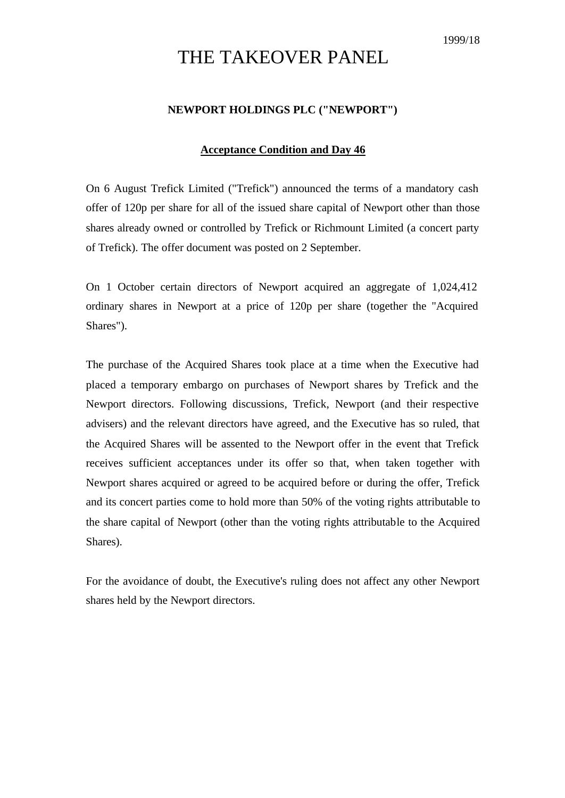## THE TAKEOVER PANEL

## **NEWPORT HOLDINGS PLC ("NEWPORT")**

## **Acceptance Condition and Day 46**

On 6 August Trefick Limited ("Trefick") announced the terms of a mandatory cash offer of 120p per share for all of the issued share capital of Newport other than those shares already owned or controlled by Trefick or Richmount Limited (a concert party of Trefick). The offer document was posted on 2 September.

On 1 October certain directors of Newport acquired an aggregate of 1,024,412 ordinary shares in Newport at a price of 120p per share (together the "Acquired Shares").

The purchase of the Acquired Shares took place at a time when the Executive had placed a temporary embargo on purchases of Newport shares by Trefick and the Newport directors. Following discussions, Trefick, Newport (and their respective advisers) and the relevant directors have agreed, and the Executive has so ruled, that the Acquired Shares will be assented to the Newport offer in the event that Trefick receives sufficient acceptances under its offer so that, when taken together with Newport shares acquired or agreed to be acquired before or during the offer, Trefick and its concert parties come to hold more than 50% of the voting rights attributable to the share capital of Newport (other than the voting rights attributable to the Acquired Shares).

For the avoidance of doubt, the Executive's ruling does not affect any other Newport shares held by the Newport directors.